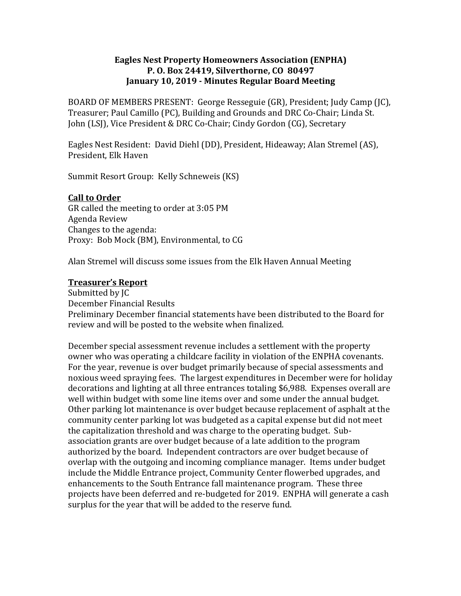## **Eagles Nest Property Homeowners Association (ENPHA) P. O. Box 24419, Silverthorne, CO 80497 January 10, 2019 - Minutes Regular Board Meeting**

BOARD OF MEMBERS PRESENT: George Resseguie (GR), President; Judy Camp (JC), Treasurer; Paul Camillo (PC), Building and Grounds and DRC Co-Chair; Linda St. John (LSJ), Vice President & DRC Co-Chair; Cindy Gordon (CG), Secretary

Eagles Nest Resident: David Diehl (DD), President, Hideaway; Alan Stremel (AS), President, Elk Haven

Summit Resort Group: Kelly Schneweis (KS)

## **Call to Order**

GR called the meeting to order at 3:05 PM Agenda Review Changes to the agenda: Proxy: Bob Mock (BM), Environmental, to CG

Alan Stremel will discuss some issues from the Elk Haven Annual Meeting

### **Treasurer's Report**

Submitted by IC December Financial Results Preliminary December financial statements have been distributed to the Board for review and will be posted to the website when finalized.

December special assessment revenue includes a settlement with the property owner who was operating a childcare facility in violation of the ENPHA covenants. For the year, revenue is over budget primarily because of special assessments and noxious weed spraying fees. The largest expenditures in December were for holiday decorations and lighting at all three entrances totaling \$6,988. Expenses overall are well within budget with some line items over and some under the annual budget. Other parking lot maintenance is over budget because replacement of asphalt at the community center parking lot was budgeted as a capital expense but did not meet the capitalization threshold and was charge to the operating budget. Subassociation grants are over budget because of a late addition to the program authorized by the board. Independent contractors are over budget because of overlap with the outgoing and incoming compliance manager. Items under budget include the Middle Entrance project, Community Center flowerbed upgrades, and enhancements to the South Entrance fall maintenance program. These three projects have been deferred and re-budgeted for 2019. ENPHA will generate a cash surplus for the year that will be added to the reserve fund.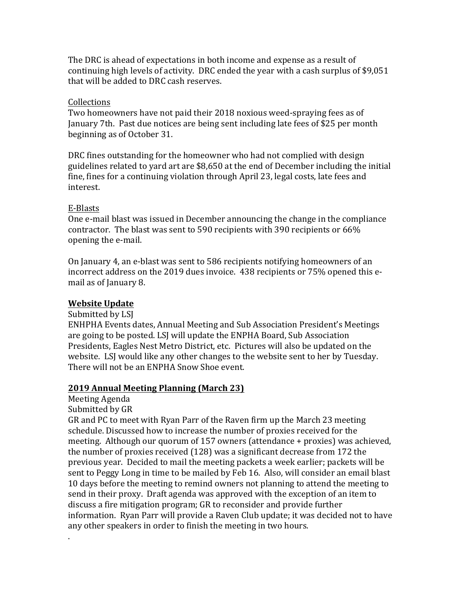The DRC is ahead of expectations in both income and expense as a result of continuing high levels of activity. DRC ended the year with a cash surplus of \$9,051 that will be added to DRC cash reserves.

#### Collections

Two homeowners have not paid their 2018 noxious weed-spraying fees as of January 7th. Past due notices are being sent including late fees of \$25 per month beginning as of October 31.

DRC fines outstanding for the homeowner who had not complied with design guidelines related to yard art are \$8,650 at the end of December including the initial fine, fines for a continuing violation through April 23, legal costs, late fees and interest. 

## E-Blasts

One e-mail blast was issued in December announcing the change in the compliance contractor. The blast was sent to 590 recipients with 390 recipients or 66% opening the e-mail.

On January 4, an e-blast was sent to 586 recipients notifying homeowners of an incorrect address on the 2019 dues invoice. 438 recipients or 75% opened this email as of January 8.

## **Website Update**

Submitted by LSJ

ENHPHA Events dates, Annual Meeting and Sub Association President's Meetings are going to be posted. LSJ will update the ENPHA Board, Sub Association Presidents, Eagles Nest Metro District, etc. Pictures will also be updated on the website. LSJ would like any other changes to the website sent to her by Tuesday. There will not be an ENPHA Snow Shoe event.

# **2019 Annual Meeting Planning (March 23)**

Meeting Agenda

Submitted by GR

.

GR and PC to meet with Ryan Parr of the Rayen firm up the March 23 meeting schedule. Discussed how to increase the number of proxies received for the meeting. Although our quorum of  $157$  owners (attendance + proxies) was achieved, the number of proxies received  $(128)$  was a significant decrease from 172 the previous year. Decided to mail the meeting packets a week earlier; packets will be sent to Peggy Long in time to be mailed by Feb 16. Also, will consider an email blast 10 days before the meeting to remind owners not planning to attend the meeting to send in their proxy. Draft agenda was approved with the exception of an item to discuss a fire mitigation program; GR to reconsider and provide further information. Ryan Parr will provide a Raven Club update; it was decided not to have any other speakers in order to finish the meeting in two hours.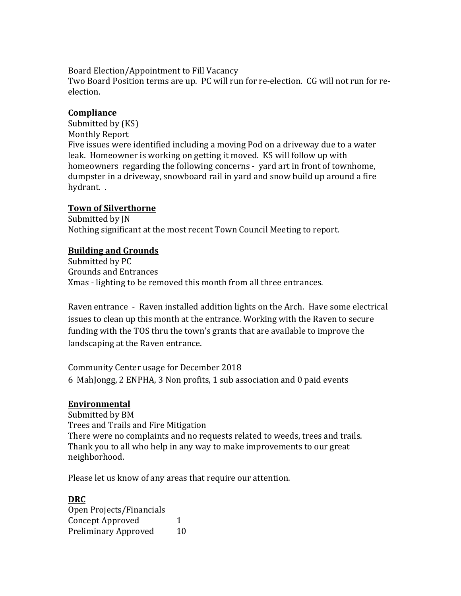Board Election/Appointment to Fill Vacancy

Two Board Position terms are up. PC will run for re-election. CG will not run for reelection.

## **Compliance**

Submitted by (KS) Monthly Report Five issues were identified including a moving Pod on a driveway due to a water leak. Homeowner is working on getting it moved. KS will follow up with homeowners regarding the following concerns - yard art in front of townhome, dumpster in a driveway, snowboard rail in yard and snow build up around a fire hydrant. .

## **Town of Silverthorne**

Submitted by JN Nothing significant at the most recent Town Council Meeting to report.

# **Building and Grounds**

Submitted by PC Grounds and Entrances Xmas - lighting to be removed this month from all three entrances.

Raven entrance - Raven installed addition lights on the Arch. Have some electrical issues to clean up this month at the entrance. Working with the Raven to secure funding with the TOS thru the town's grants that are available to improve the landscaping at the Raven entrance.

Community Center usage for December 2018 6 MahJongg, 2 ENPHA, 3 Non profits, 1 sub association and 0 paid events

## **Environmental**

Submitted by BM Trees and Trails and Fire Mitigation There were no complaints and no requests related to weeds, trees and trails. Thank you to all who help in any way to make improvements to our great neighborhood.

Please let us know of any areas that require our attention.

# **DRC**

Open Projects/Financials Concept Approved 1 Preliminary Approved 10